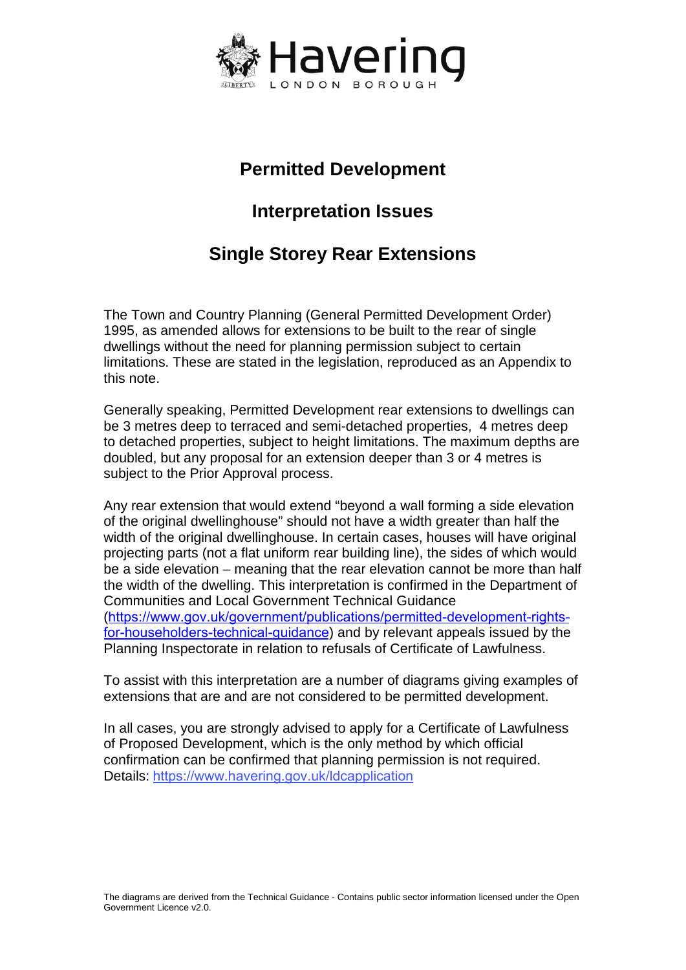

## **Permitted Development**

## **Interpretation Issues**

# **Single Storey Rear Extensions**

The Town and Country Planning (General Permitted Development Order) 1995, as amended allows for extensions to be built to the rear of single dwellings without the need for planning permission subject to certain limitations. These are stated in the legislation, reproduced as an Appendix to this note.

Generally speaking, Permitted Development rear extensions to dwellings can be 3 metres deep to terraced and semi-detached properties, 4 metres deep to detached properties, subject to height limitations. The maximum depths are doubled, but any proposal for an extension deeper than 3 or 4 metres is subject to the Prior Approval process.

Any rear extension that would extend "beyond a wall forming a side elevation of the original dwellinghouse" should not have a width greater than half the width of the original dwellinghouse. In certain cases, houses will have original projecting parts (not a flat uniform rear building line), the sides of which would be a side elevation – meaning that the rear elevation cannot be more than half the width of the dwelling. This interpretation is confirmed in the Department of Communities and Local Government Technical Guidance ([https://www.gov.uk/government/publications/permitted-development-rights](https://www.gov.uk/government/publications/permitted-development-rights-for-householders-technical-guidance)[for-householders-t](https://www.gov.uk/government/publications/permitted-development-rights-for-householders-technical-guidance)echnical-guidance) and by relevant appeals issued by the Planning Inspectorate in relation to refusals of Certificate of Lawfulness.

To assist with this interpretation are a number of diagrams giving examples of extensions that are and are not considered to be permitted development.

In all cases, you are strongly advised to apply for a Certificate of Lawfulness of Proposed Development, which is the only method by which official confirmation can be confirmed that planning permission is not required. Details: <https://www.havering.gov.uk/ldcapplication>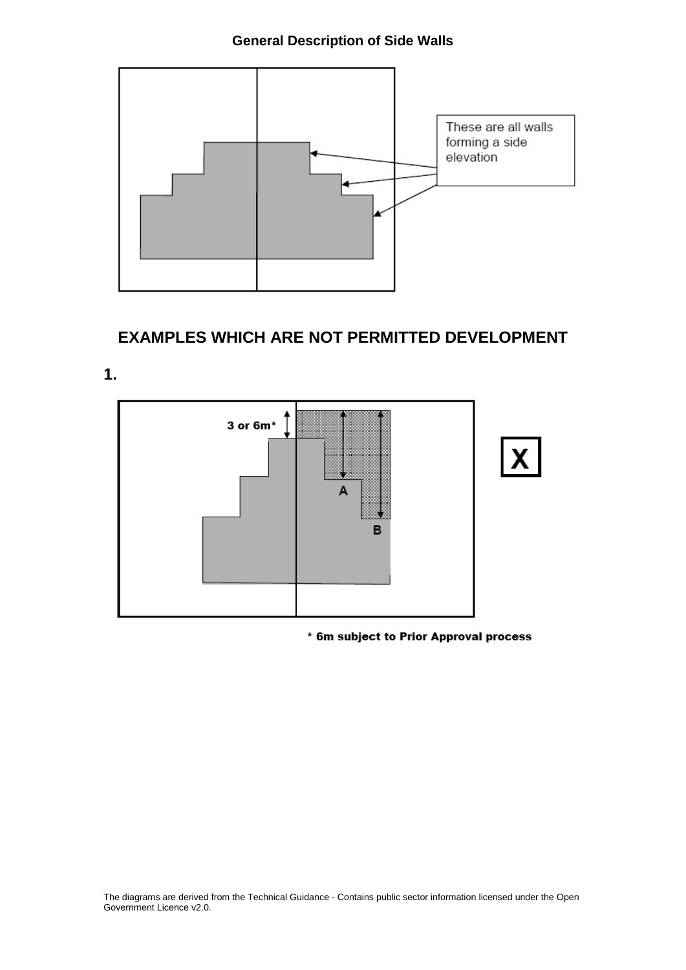### **General Description of Side Walls**



### **EXAMPLES WHICH ARE NOT PERMITTED DEVELOPMENT**

**1.**



\* 6m subject to Prior Approval process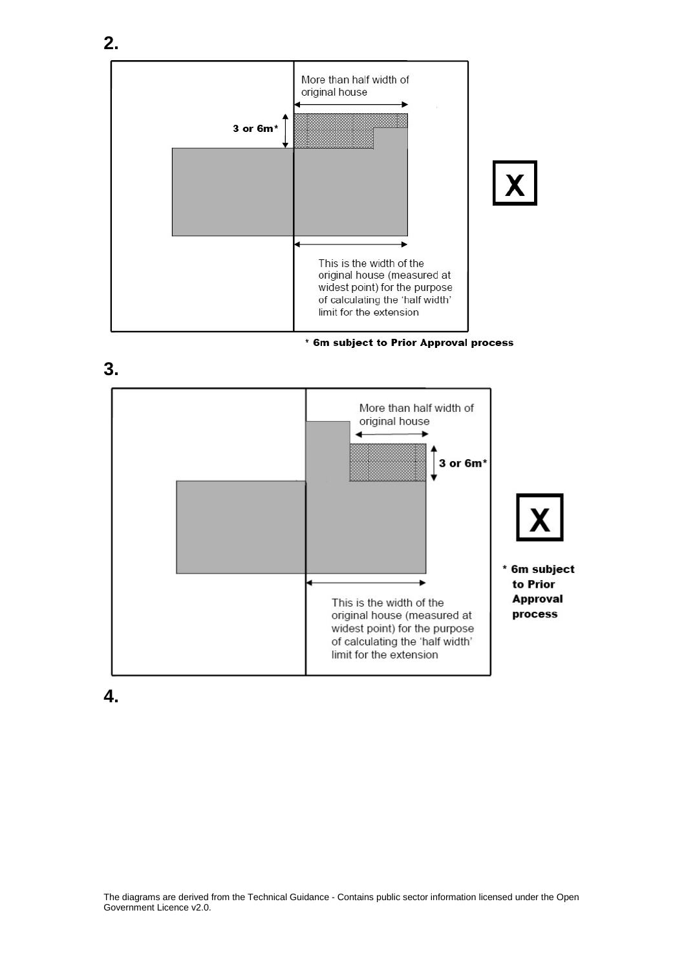





**4.**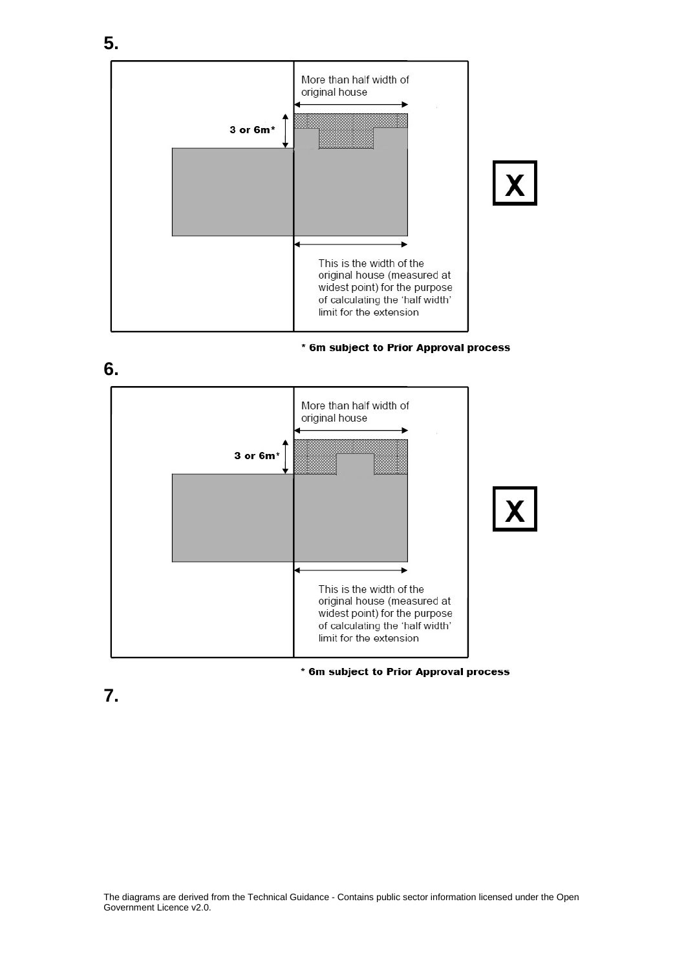

#### \* 6m subject to Prior Approval process



#### \* 6m subject to Prior Approval process

**7.**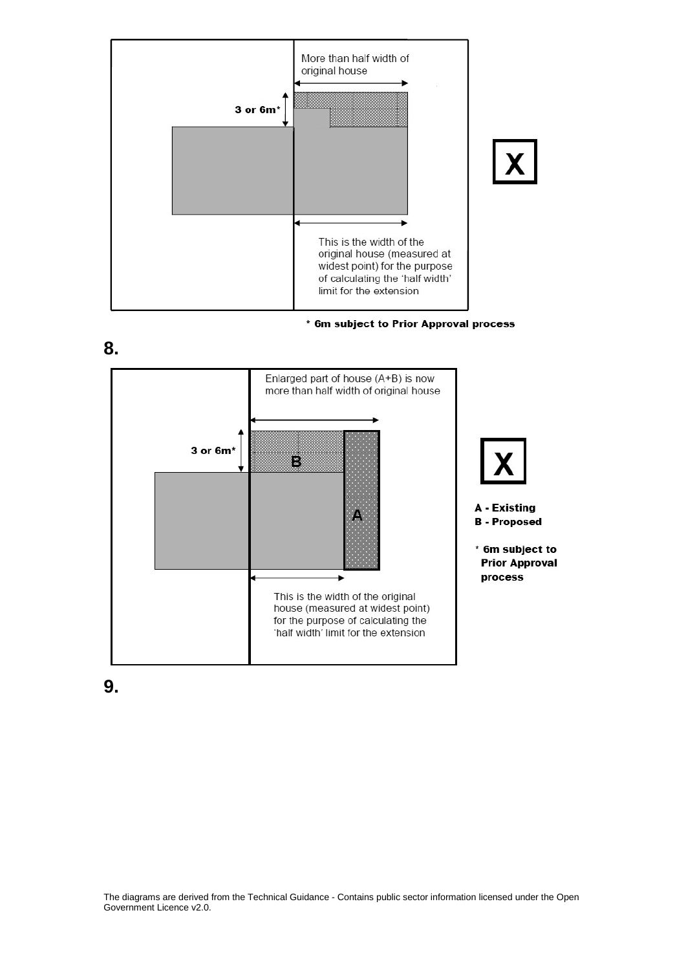

\* 6m subject to Prior Approval process





**9.**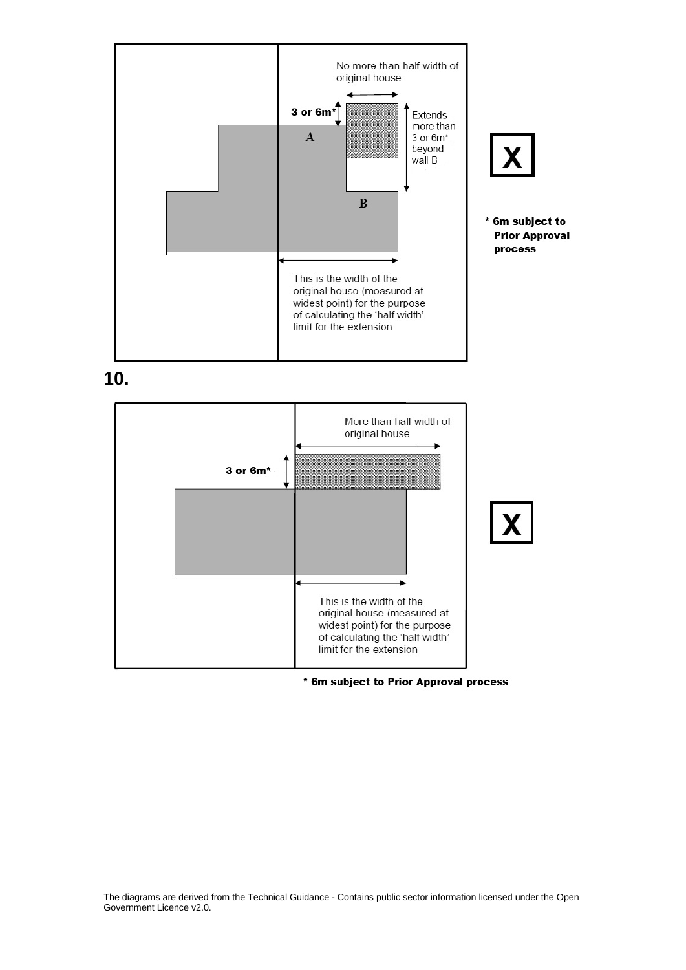

**10.**



\* 6m subject to Prior Approval process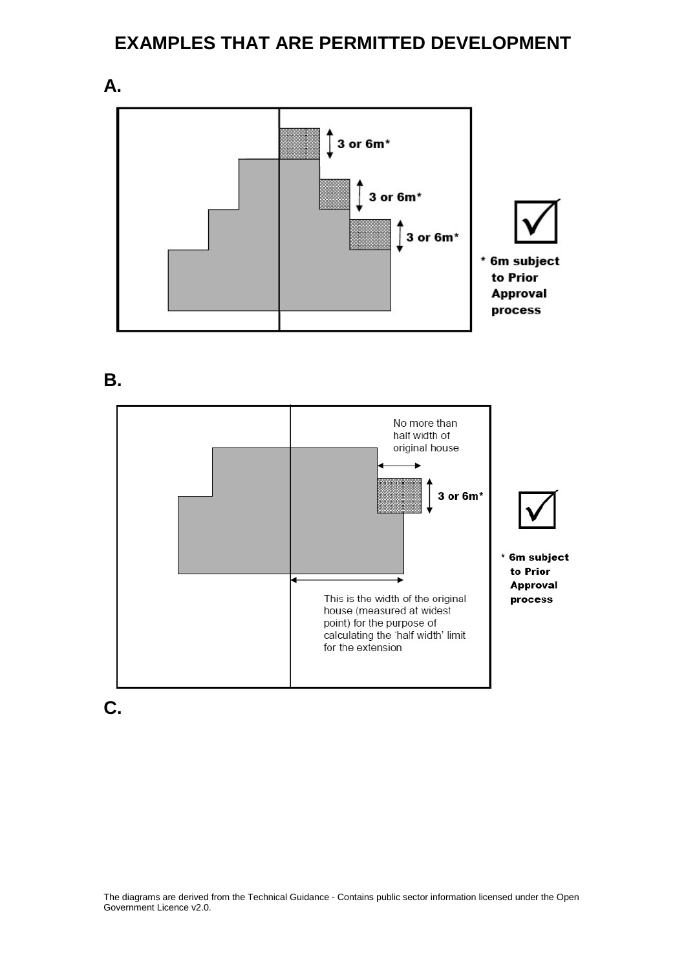## **EXAMPLES THAT ARE PERMITTED DEVELOPMENT**



**B.** 

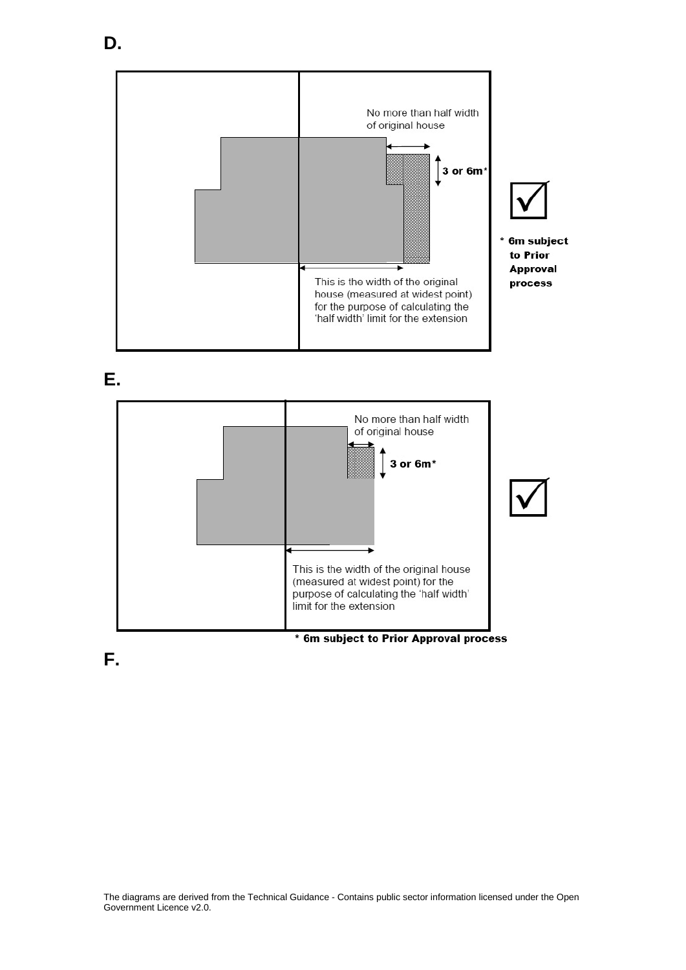



**E.**



**F.**